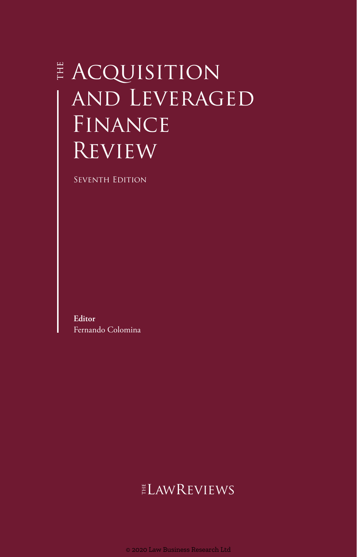# **E** ACQUISITION and Leveraged FINANCE **REVIEW**

Seventh Edition

**Editor** Fernando Colomina

## ELAWREVIEWS

© 2020 Law Business Research Ltd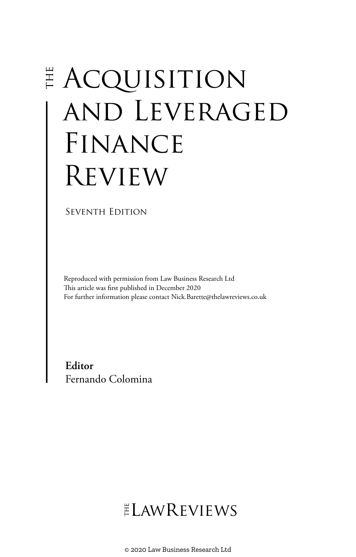# **E ACQUISITION** and Leveraged FINANCE Review

SEVENTH EDITION

Reproduced with permission from Law Business Research Ltd This article was first published in December 2020 For further information please contact Nick.Barette@thelawreviews.co.uk

**Editor** Fernando Colomina

 $ELMR$  EVIEWS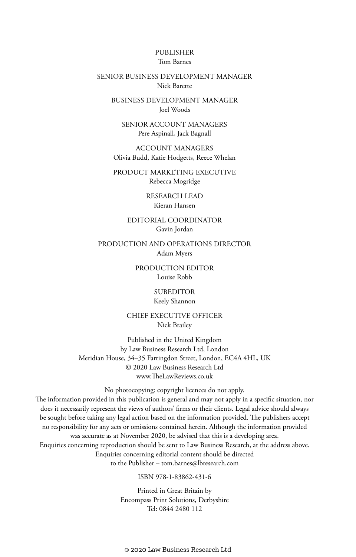#### PUBLISHER Tom Barnes

#### SENIOR BUSINESS DEVELOPMENT MANAGER Nick Barette

BUSINESS DEVELOPMENT MANAGER Joel Woods

SENIOR ACCOUNT MANAGERS Pere Aspinall, Jack Bagnall

ACCOUNT MANAGERS Olivia Budd, Katie Hodgetts, Reece Whelan

PRODUCT MARKETING EXECUTIVE Rebecca Mogridge

> RESEARCH LEAD Kieran Hansen

EDITORIAL COORDINATOR Gavin Jordan

PRODUCTION AND OPERATIONS DIRECTOR Adam Myers

> PRODUCTION EDITOR Louise Robb

> > SUBEDITOR Keely Shannon

CHIEF EXECUTIVE OFFICER Nick Brailey

Published in the United Kingdom by Law Business Research Ltd, London Meridian House, 34–35 Farringdon Street, London, EC4A 4HL, UK © 2020 Law Business Research Ltd www.TheLawReviews.co.uk

No photocopying: copyright licences do not apply. The information provided in this publication is general and may not apply in a specific situation, nor does it necessarily represent the views of authors' firms or their clients. Legal advice should always be sought before taking any legal action based on the information provided. The publishers accept no responsibility for any acts or omissions contained herein. Although the information provided was accurate as at November 2020, be advised that this is a developing area. Enquiries concerning reproduction should be sent to Law Business Research, at the address above. Enquiries concerning editorial content should be directed to the Publisher – tom.barnes@lbresearch.com

ISBN 978-1-83862-431-6

Printed in Great Britain by Encompass Print Solutions, Derbyshire Tel: 0844 2480 112

© 2020 Law Business Research Ltd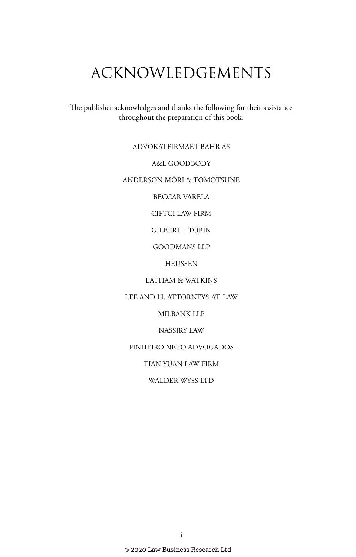# ACKNOWLEDGEMENTS

The publisher acknowledges and thanks the following for their assistance throughout the preparation of this book:

#### ADVOKATFIRMAET BAHR AS

#### A&L GOODBODY

#### ANDERSON MŌRI & TOMOTSUNE

BECCAR VARELA

CIFTCI LAW FIRM

GILBERT + TOBIN

GOODMANS LLP

**HEUSSEN** 

LATHAM & WATKINS

LEE AND LI, ATTORNEYS-AT-LAW

MILBANK LLP

NASSIRY LAW

PINHEIRO NETO ADVOGADOS

TIAN YUAN LAW FIRM

WALDER WYSS LTD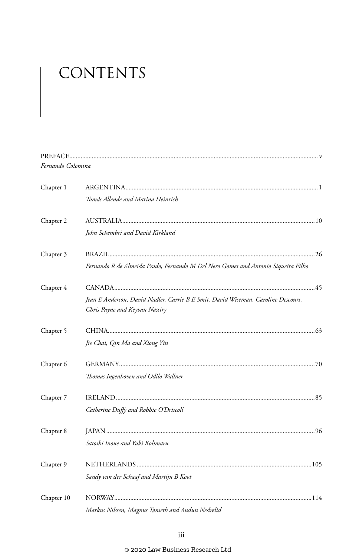# CONTENTS

| Fernando Colomina |                                                                                   |  |
|-------------------|-----------------------------------------------------------------------------------|--|
| Chapter 1         |                                                                                   |  |
|                   | Tomás Allende and Marina Heinrich                                                 |  |
| Chapter 2         |                                                                                   |  |
|                   | John Schembri and David Kirkland                                                  |  |
| Chapter 3         |                                                                                   |  |
|                   | Fernando R de Almeida Prado, Fernando M Del Nero Gomes and Antonio Siqueira Filho |  |
| Chapter 4         |                                                                                   |  |
|                   | Jean E Anderson, David Nadler, Carrie B E Smit, David Wiseman, Caroline Descours, |  |
|                   | Chris Payne and Keyvan Nassiry                                                    |  |
| Chapter 5         |                                                                                   |  |
|                   | Jie Chai, Qin Ma and Xiong Yin                                                    |  |
| Chapter 6         |                                                                                   |  |
|                   | Thomas Ingenhoven and Odilo Wallner                                               |  |
| Chapter 7         |                                                                                   |  |
|                   | Catherine Duffy and Robbie O'Driscoll                                             |  |
| Chapter 8         |                                                                                   |  |
|                   | Satoshi Inoue and Yuki Kohmaru                                                    |  |
| Chapter 9         |                                                                                   |  |
|                   | Sandy van der Schaaf and Martijn B Koot                                           |  |
| Chapter 10        |                                                                                   |  |
|                   | Markus Nilssen, Magnus Tønseth and Audun Nedrelid                                 |  |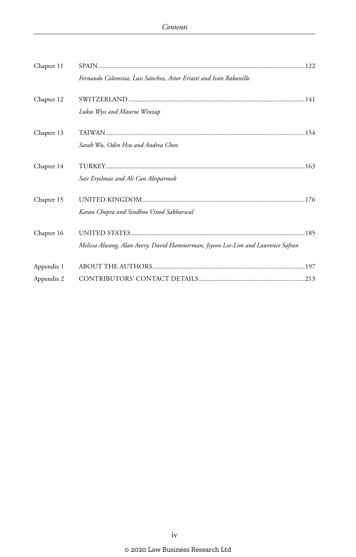| Chapter 11 |                                                                                 |  |
|------------|---------------------------------------------------------------------------------|--|
|            | Fernando Colomina, Luis Sánchez, Aitor Errasti and Iván Rabanillo               |  |
| Chapter 12 |                                                                                 |  |
|            | Lukas Wyss and Maurus Winzap                                                    |  |
| Chapter 13 |                                                                                 |  |
|            | Sarah Wu, Odin Hsu and Andrea Chen                                              |  |
| Chapter 14 |                                                                                 |  |
|            | Sait Eryılmaz and Ali Can Altıparmak                                            |  |
| Chapter 15 |                                                                                 |  |
|            | Karan Chopra and Sindhoo Vinod Sabharwal                                        |  |
| Chapter 16 |                                                                                 |  |
|            | Melissa Alwang, Alan Avery, David Hammerman, Jiyeon Lee-Lim and Lawrence Safran |  |
| Appendix 1 |                                                                                 |  |
| Appendix 2 |                                                                                 |  |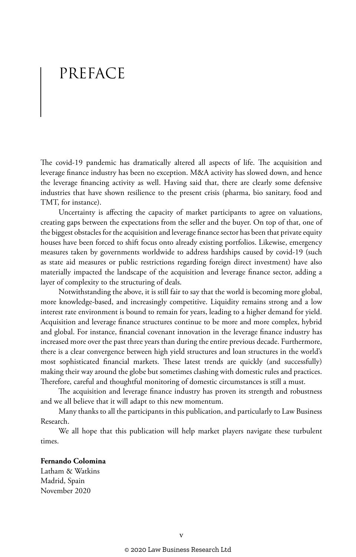## PREFACE

The covid-19 pandemic has dramatically altered all aspects of life. The acquisition and leverage finance industry has been no exception. M&A activity has slowed down, and hence the leverage financing activity as well. Having said that, there are clearly some defensive industries that have shown resilience to the present crisis (pharma, bio sanitary, food and TMT, for instance).

Uncertainty is affecting the capacity of market participants to agree on valuations, creating gaps between the expectations from the seller and the buyer. On top of that, one of the biggest obstacles for the acquisition and leverage finance sector has been that private equity houses have been forced to shift focus onto already existing portfolios. Likewise, emergency measures taken by governments worldwide to address hardships caused by covid-19 (such as state aid measures or public restrictions regarding foreign direct investment) have also materially impacted the landscape of the acquisition and leverage finance sector, adding a layer of complexity to the structuring of deals.

Notwithstanding the above, it is still fair to say that the world is becoming more global, more knowledge-based, and increasingly competitive. Liquidity remains strong and a low interest rate environment is bound to remain for years, leading to a higher demand for yield. Acquisition and leverage finance structures continue to be more and more complex, hybrid and global. For instance, financial covenant innovation in the leverage finance industry has increased more over the past three years than during the entire previous decade. Furthermore, there is a clear convergence between high yield structures and loan structures in the world's most sophisticated financial markets. These latest trends are quickly (and successfully) making their way around the globe but sometimes clashing with domestic rules and practices. Therefore, careful and thoughtful monitoring of domestic circumstances is still a must.

The acquisition and leverage finance industry has proven its strength and robustness and we all believe that it will adapt to this new momentum.

Many thanks to all the participants in this publication, and particularly to Law Business Research.

We all hope that this publication will help market players navigate these turbulent times.

#### **Fernando Colomina**

Latham & Watkins Madrid, Spain November 2020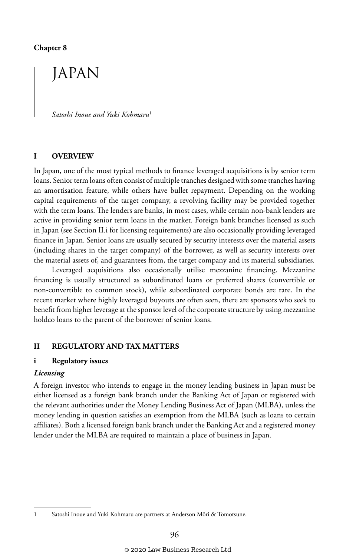#### **Chapter 8**

### JAPAN

*Satoshi Inoue and Yuki Kohmaru*<sup>1</sup>

#### **I OVERVIEW**

In Japan, one of the most typical methods to finance leveraged acquisitions is by senior term loans. Senior term loans often consist of multiple tranches designed with some tranches having an amortisation feature, while others have bullet repayment. Depending on the working capital requirements of the target company, a revolving facility may be provided together with the term loans. The lenders are banks, in most cases, while certain non-bank lenders are active in providing senior term loans in the market. Foreign bank branches licensed as such in Japan (see Section II.i for licensing requirements) are also occasionally providing leveraged finance in Japan. Senior loans are usually secured by security interests over the material assets (including shares in the target company) of the borrower, as well as security interests over the material assets of, and guarantees from, the target company and its material subsidiaries.

Leveraged acquisitions also occasionally utilise mezzanine financing. Mezzanine financing is usually structured as subordinated loans or preferred shares (convertible or non-convertible to common stock), while subordinated corporate bonds are rare. In the recent market where highly leveraged buyouts are often seen, there are sponsors who seek to benefit from higher leverage at the sponsor level of the corporate structure by using mezzanine holdco loans to the parent of the borrower of senior loans.

#### **II REGULATORY AND TAX MATTERS**

#### **i Regulatory issues**

#### *Licensing*

A foreign investor who intends to engage in the money lending business in Japan must be either licensed as a foreign bank branch under the Banking Act of Japan or registered with the relevant authorities under the Money Lending Business Act of Japan (MLBA), unless the money lending in question satisfies an exemption from the MLBA (such as loans to certain affiliates). Both a licensed foreign bank branch under the Banking Act and a registered money lender under the MLBA are required to maintain a place of business in Japan.

<sup>1</sup> Satoshi Inoue and Yuki Kohmaru are partners at Anderson Mōri & Tomotsune.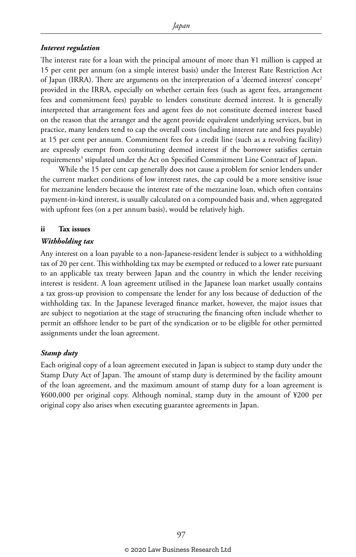#### *Interest regulation*

The interest rate for a loan with the principal amount of more than ¥1 million is capped at 15 per cent per annum (on a simple interest basis) under the Interest Rate Restriction Act of Japan (IRRA). There are arguments on the interpretation of a 'deemed interest' concept<sup>2</sup> provided in the IRRA, especially on whether certain fees (such as agent fees, arrangement fees and commitment fees) payable to lenders constitute deemed interest. It is generally interpreted that arrangement fees and agent fees do not constitute deemed interest based on the reason that the arranger and the agent provide equivalent underlying services, but in practice, many lenders tend to cap the overall costs (including interest rate and fees payable) at 15 per cent per annum. Commitment fees for a credit line (such as a revolving facility) are expressly exempt from constituting deemed interest if the borrower satisfies certain requirements<sup>3</sup> stipulated under the Act on Specified Commitment Line Contract of Japan.

While the 15 per cent cap generally does not cause a problem for senior lenders under the current market conditions of low interest rates, the cap could be a more sensitive issue for mezzanine lenders because the interest rate of the mezzanine loan, which often contains payment-in-kind interest, is usually calculated on a compounded basis and, when aggregated with upfront fees (on a per annum basis), would be relatively high.

#### **ii Tax issues**

#### *Withholding tax*

Any interest on a loan payable to a non-Japanese-resident lender is subject to a withholding tax of 20 per cent. This withholding tax may be exempted or reduced to a lower rate pursuant to an applicable tax treaty between Japan and the country in which the lender receiving interest is resident. A loan agreement utilised in the Japanese loan market usually contains a tax gross-up provision to compensate the lender for any loss because of deduction of the withholding tax. In the Japanese leveraged finance market, however, the major issues that are subject to negotiation at the stage of structuring the financing often include whether to permit an offshore lender to be part of the syndication or to be eligible for other permitted assignments under the loan agreement.

#### *Stamp duty*

Each original copy of a loan agreement executed in Japan is subject to stamp duty under the Stamp Duty Act of Japan. The amount of stamp duty is determined by the facility amount of the loan agreement, and the maximum amount of stamp duty for a loan agreement is ¥600,000 per original copy. Although nominal, stamp duty in the amount of ¥200 per original copy also arises when executing guarantee agreements in Japan.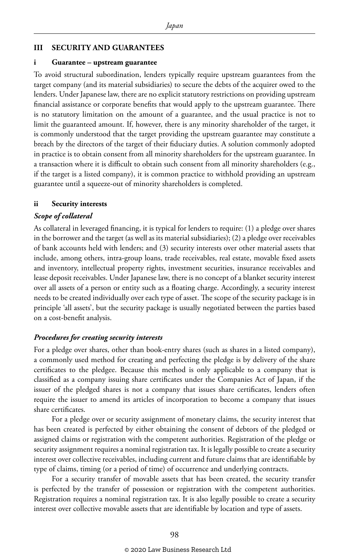#### **III SECURITY AND GUARANTEES**

#### **i Guarantee – upstream guarantee**

To avoid structural subordination, lenders typically require upstream guarantees from the target company (and its material subsidiaries) to secure the debts of the acquirer owed to the lenders. Under Japanese law, there are no explicit statutory restrictions on providing upstream financial assistance or corporate benefits that would apply to the upstream guarantee. There is no statutory limitation on the amount of a guarantee, and the usual practice is not to limit the guaranteed amount. If, however, there is any minority shareholder of the target, it is commonly understood that the target providing the upstream guarantee may constitute a breach by the directors of the target of their fiduciary duties. A solution commonly adopted in practice is to obtain consent from all minority shareholders for the upstream guarantee. In a transaction where it is difficult to obtain such consent from all minority shareholders (e.g., if the target is a listed company), it is common practice to withhold providing an upstream guarantee until a squeeze-out of minority shareholders is completed.

#### **ii Security interests**

#### *Scope of collateral*

As collateral in leveraged financing, it is typical for lenders to require: (1) a pledge over shares in the borrower and the target (as well as its material subsidiaries); (2) a pledge over receivables of bank accounts held with lenders; and (3) security interests over other material assets that include, among others, intra-group loans, trade receivables, real estate, movable fixed assets and inventory, intellectual property rights, investment securities, insurance receivables and lease deposit receivables. Under Japanese law, there is no concept of a blanket security interest over all assets of a person or entity such as a floating charge. Accordingly, a security interest needs to be created individually over each type of asset. The scope of the security package is in principle 'all assets', but the security package is usually negotiated between the parties based on a cost-benefit analysis.

#### *Procedures for creating security interests*

For a pledge over shares, other than book-entry shares (such as shares in a listed company), a commonly used method for creating and perfecting the pledge is by delivery of the share certificates to the pledgee. Because this method is only applicable to a company that is classified as a company issuing share certificates under the Companies Act of Japan, if the issuer of the pledged shares is not a company that issues share certificates, lenders often require the issuer to amend its articles of incorporation to become a company that issues share certificates.

For a pledge over or security assignment of monetary claims, the security interest that has been created is perfected by either obtaining the consent of debtors of the pledged or assigned claims or registration with the competent authorities. Registration of the pledge or security assignment requires a nominal registration tax. It is legally possible to create a security interest over collective receivables, including current and future claims that are identifiable by type of claims, timing (or a period of time) of occurrence and underlying contracts.

For a security transfer of movable assets that has been created, the security transfer is perfected by the transfer of possession or registration with the competent authorities. Registration requires a nominal registration tax. It is also legally possible to create a security interest over collective movable assets that are identifiable by location and type of assets.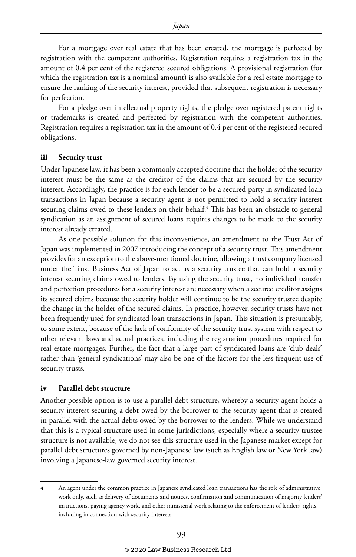For a mortgage over real estate that has been created, the mortgage is perfected by registration with the competent authorities. Registration requires a registration tax in the amount of 0.4 per cent of the registered secured obligations. A provisional registration (for which the registration tax is a nominal amount) is also available for a real estate mortgage to ensure the ranking of the security interest, provided that subsequent registration is necessary for perfection.

For a pledge over intellectual property rights, the pledge over registered patent rights or trademarks is created and perfected by registration with the competent authorities. Registration requires a registration tax in the amount of 0.4 per cent of the registered secured obligations.

#### **iii Security trust**

Under Japanese law, it has been a commonly accepted doctrine that the holder of the security interest must be the same as the creditor of the claims that are secured by the security interest. Accordingly, the practice is for each lender to be a secured party in syndicated loan transactions in Japan because a security agent is not permitted to hold a security interest securing claims owed to these lenders on their behalf.<sup>4</sup> This has been an obstacle to general syndication as an assignment of secured loans requires changes to be made to the security interest already created.

As one possible solution for this inconvenience, an amendment to the Trust Act of Japan was implemented in 2007 introducing the concept of a security trust. This amendment provides for an exception to the above-mentioned doctrine, allowing a trust company licensed under the Trust Business Act of Japan to act as a security trustee that can hold a security interest securing claims owed to lenders. By using the security trust, no individual transfer and perfection procedures for a security interest are necessary when a secured creditor assigns its secured claims because the security holder will continue to be the security trustee despite the change in the holder of the secured claims. In practice, however, security trusts have not been frequently used for syndicated loan transactions in Japan. This situation is presumably, to some extent, because of the lack of conformity of the security trust system with respect to other relevant laws and actual practices, including the registration procedures required for real estate mortgages. Further, the fact that a large part of syndicated loans are 'club deals' rather than 'general syndications' may also be one of the factors for the less frequent use of security trusts.

#### **iv Parallel debt structure**

Another possible option is to use a parallel debt structure, whereby a security agent holds a security interest securing a debt owed by the borrower to the security agent that is created in parallel with the actual debts owed by the borrower to the lenders. While we understand that this is a typical structure used in some jurisdictions, especially where a security trustee structure is not available, we do not see this structure used in the Japanese market except for parallel debt structures governed by non-Japanese law (such as English law or New York law) involving a Japanese-law governed security interest.

<sup>4</sup> An agent under the common practice in Japanese syndicated loan transactions has the role of administrative work only, such as delivery of documents and notices, confirmation and communication of majority lenders' instructions, paying agency work, and other ministerial work relating to the enforcement of lenders' rights, including in connection with security interests.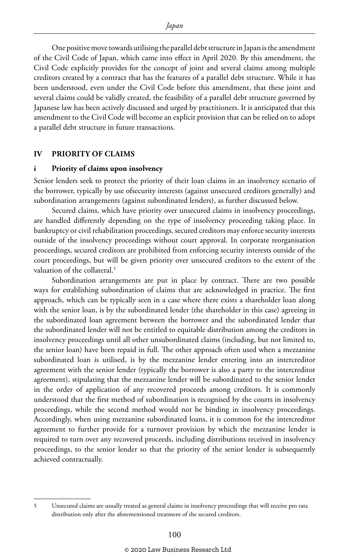One positive move towards utilising the parallel debt structure in Japan is the amendment of the Civil Code of Japan, which came into effect in April 2020. By this amendment, the Civil Code explicitly provides for the concept of joint and several claims among multiple creditors created by a contract that has the features of a parallel debt structure. While it has been understood, even under the Civil Code before this amendment, that these joint and several claims could be validly created, the feasibility of a parallel debt structure governed by Japanese law has been actively discussed and urged by practitioners. It is anticipated that this amendment to the Civil Code will become an explicit provision that can be relied on to adopt a parallel debt structure in future transactions.

#### **IV PRIORITY OF CLAIMS**

#### **i Priority of claims upon insolvency**

Senior lenders seek to protect the priority of their loan claims in an insolvency scenario of the borrower, typically by use ofsecurity interests (against unsecured creditors generally) and subordination arrangements (against subordinated lenders), as further discussed below.

Secured claims, which have priority over unsecured claims in insolvency proceedings, are handled differently depending on the type of insolvency proceeding taking place. In bankruptcy or civil rehabilitation proceedings, secured creditors may enforce security interests outside of the insolvency proceedings without court approval. In corporate reorganisation proceedings, secured creditors are prohibited from enforcing security interests outside of the court proceedings, but will be given priority over unsecured creditors to the extent of the valuation of the collateral.<sup>5</sup>

Subordination arrangements are put in place by contract. There are two possible ways for establishing subordination of claims that are acknowledged in practice. The first approach, which can be typically seen in a case where there exists a shareholder loan along with the senior loan, is by the subordinated lender (the shareholder in this case) agreeing in the subordinated loan agreement between the borrower and the subordinated lender that the subordinated lender will not be entitled to equitable distribution among the creditors in insolvency proceedings until all other unsubordinated claims (including, but not limited to, the senior loan) have been repaid in full. The other approach often used when a mezzanine subordinated loan is utilised, is by the mezzanine lender entering into an intercreditor agreement with the senior lender (typically the borrower is also a party to the intercreditor agreement), stipulating that the mezzanine lender will be subordinated to the senior lender in the order of application of any recovered proceeds among creditors. It is commonly understood that the first method of subordination is recognised by the courts in insolvency proceedings, while the second method would not be binding in insolvency proceedings. Accordingly, when using mezzanine subordinated loans, it is common for the intercreditor agreement to further provide for a turnover provision by which the mezzanine lender is required to turn over any recovered proceeds, including distributions received in insolvency proceedings, to the senior lender so that the priority of the senior lender is subsequently achieved contractually.

<sup>5</sup> Unsecured claims are usually treated as general claims in insolvency proceedings that will receive pro rata distribution only after the aforementioned treatment of the secured creditors.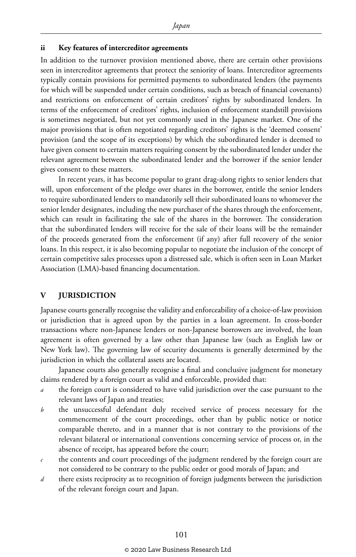#### **ii Key features of intercreditor agreements**

In addition to the turnover provision mentioned above, there are certain other provisions seen in intercreditor agreements that protect the seniority of loans. Intercreditor agreements typically contain provisions for permitted payments to subordinated lenders (the payments for which will be suspended under certain conditions, such as breach of financial covenants) and restrictions on enforcement of certain creditors' rights by subordinated lenders. In terms of the enforcement of creditors' rights, inclusion of enforcement standstill provisions is sometimes negotiated, but not yet commonly used in the Japanese market. One of the major provisions that is often negotiated regarding creditors' rights is the 'deemed consent' provision (and the scope of its exceptions) by which the subordinated lender is deemed to have given consent to certain matters requiring consent by the subordinated lender under the relevant agreement between the subordinated lender and the borrower if the senior lender gives consent to these matters.

In recent years, it has become popular to grant drag-along rights to senior lenders that will, upon enforcement of the pledge over shares in the borrower, entitle the senior lenders to require subordinated lenders to mandatorily sell their subordinated loans to whomever the senior lender designates, including the new purchaser of the shares through the enforcement, which can result in facilitating the sale of the shares in the borrower. The consideration that the subordinated lenders will receive for the sale of their loans will be the remainder of the proceeds generated from the enforcement (if any) after full recovery of the senior loans. In this respect, it is also becoming popular to negotiate the inclusion of the concept of certain competitive sales processes upon a distressed sale, which is often seen in Loan Market Association (LMA)-based financing documentation.

#### **V JURISDICTION**

Japanese courts generally recognise the validity and enforceability of a choice-of-law provision or jurisdiction that is agreed upon by the parties in a loan agreement. In cross-border transactions where non-Japanese lenders or non-Japanese borrowers are involved, the loan agreement is often governed by a law other than Japanese law (such as English law or New York law). The governing law of security documents is generally determined by the jurisdiction in which the collateral assets are located.

Japanese courts also generally recognise a final and conclusive judgment for monetary claims rendered by a foreign court as valid and enforceable, provided that:

- the foreign court is considered to have valid jurisdiction over the case pursuant to the relevant laws of Japan and treaties;
- *b* the unsuccessful defendant duly received service of process necessary for the commencement of the court proceedings, other than by public notice or notice comparable thereto, and in a manner that is not contrary to the provisions of the relevant bilateral or international conventions concerning service of process or, in the absence of receipt, has appeared before the court;
- *c* the contents and court proceedings of the judgment rendered by the foreign court are not considered to be contrary to the public order or good morals of Japan; and
- *d* there exists reciprocity as to recognition of foreign judgments between the jurisdiction of the relevant foreign court and Japan.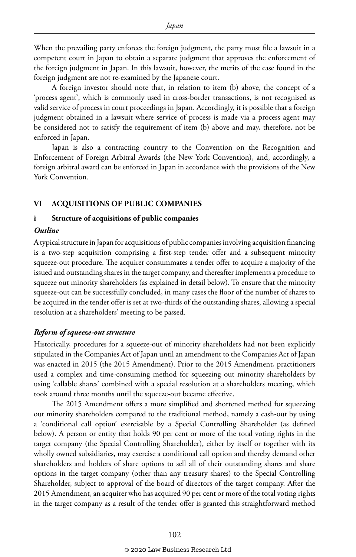When the prevailing party enforces the foreign judgment, the party must file a lawsuit in a competent court in Japan to obtain a separate judgment that approves the enforcement of the foreign judgment in Japan. In this lawsuit, however, the merits of the case found in the foreign judgment are not re-examined by the Japanese court.

A foreign investor should note that, in relation to item (b) above, the concept of a 'process agent', which is commonly used in cross-border transactions, is not recognised as valid service of process in court proceedings in Japan. Accordingly, it is possible that a foreign judgment obtained in a lawsuit where service of process is made via a process agent may be considered not to satisfy the requirement of item (b) above and may, therefore, not be enforced in Japan.

Japan is also a contracting country to the Convention on the Recognition and Enforcement of Foreign Arbitral Awards (the New York Convention), and, accordingly, a foreign arbitral award can be enforced in Japan in accordance with the provisions of the New York Convention.

#### **VI ACQUISITIONS OF PUBLIC COMPANIES**

#### **i Structure of acquisitions of public companies**

#### *Outline*

A typical structure in Japan for acquisitions of public companies involving acquisition financing is a two-step acquisition comprising a first-step tender offer and a subsequent minority squeeze-out procedure. The acquirer consummates a tender offer to acquire a majority of the issued and outstanding shares in the target company, and thereafter implements a procedure to squeeze out minority shareholders (as explained in detail below). To ensure that the minority squeeze-out can be successfully concluded, in many cases the floor of the number of shares to be acquired in the tender offer is set at two-thirds of the outstanding shares, allowing a special resolution at a shareholders' meeting to be passed.

#### *Reform of squeeze-out structure*

Historically, procedures for a squeeze-out of minority shareholders had not been explicitly stipulated in the Companies Act of Japan until an amendment to the Companies Act of Japan was enacted in 2015 (the 2015 Amendment). Prior to the 2015 Amendment, practitioners used a complex and time-consuming method for squeezing out minority shareholders by using 'callable shares' combined with a special resolution at a shareholders meeting, which took around three months until the squeeze-out became effective.

The 2015 Amendment offers a more simplified and shortened method for squeezing out minority shareholders compared to the traditional method, namely a cash-out by using a 'conditional call option' exercisable by a Special Controlling Shareholder (as defined below). A person or entity that holds 90 per cent or more of the total voting rights in the target company (the Special Controlling Shareholder), either by itself or together with its wholly owned subsidiaries, may exercise a conditional call option and thereby demand other shareholders and holders of share options to sell all of their outstanding shares and share options in the target company (other than any treasury shares) to the Special Controlling Shareholder, subject to approval of the board of directors of the target company. After the 2015 Amendment, an acquirer who has acquired 90 per cent or more of the total voting rights in the target company as a result of the tender offer is granted this straightforward method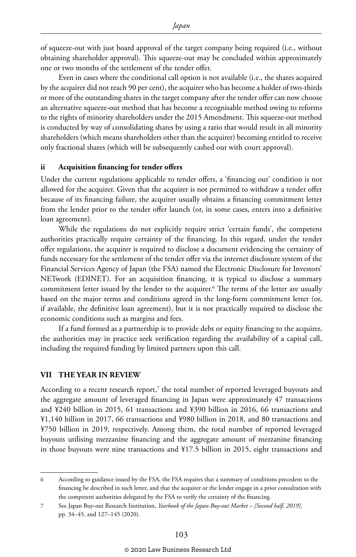of squeeze-out with just board approval of the target company being required (i.e., without obtaining shareholder approval). This squeeze-out may be concluded within approximately one or two months of the settlement of the tender offer.

Even in cases where the conditional call option is not available (i.e., the shares acquired by the acquirer did not reach 90 per cent), the acquirer who has become a holder of two-thirds or more of the outstanding shares in the target company after the tender offer can now choose an alternative squeeze-out method that has become a recognisable method owing to reforms to the rights of minority shareholders under the 2015 Amendment. This squeeze-out method is conducted by way of consolidating shares by using a ratio that would result in all minority shareholders (which means shareholders other than the acquirer) becoming entitled to receive only fractional shares (which will be subsequently cashed out with court approval).

#### **ii Acquisition financing for tender offers**

Under the current regulations applicable to tender offers, a 'financing out' condition is not allowed for the acquirer. Given that the acquirer is not permitted to withdraw a tender offer because of its financing failure, the acquirer usually obtains a financing commitment letter from the lender prior to the tender offer launch (or, in some cases, enters into a definitive loan agreement).

While the regulations do not explicitly require strict 'certain funds', the competent authorities practically require certainty of the financing. In this regard, under the tender offer regulations, the acquirer is required to disclose a document evidencing the certainty of funds necessary for the settlement of the tender offer via the internet disclosure system of the Financial Services Agency of Japan (the FSA) named the Electronic Disclosure for Investors' NETwork (EDINET). For an acquisition financing, it is typical to disclose a summary commitment letter issued by the lender to the acquirer.6 The terms of the letter are usually based on the major terms and conditions agreed in the long-form commitment letter (or, if available, the definitive loan agreement), but it is not practically required to disclose the economic conditions such as margins and fees.

If a fund formed as a partnership is to provide debt or equity financing to the acquirer, the authorities may in practice seek verification regarding the availability of a capital call, including the required funding by limited partners upon this call.

#### **VII THE YEAR IN REVIEW**

According to a recent research report, $^7$  the total number of reported leveraged buyouts and the aggregate amount of leveraged financing in Japan were approximately 47 transactions and ¥240 billion in 2015, 61 transactions and ¥390 billion in 2016, 66 transactions and ¥1,140 billion in 2017, 66 transactions and ¥980 billion in 2018, and 80 transactions and ¥750 billion in 2019, respectively. Among them, the total number of reported leveraged buyouts utilising mezzanine financing and the aggregate amount of mezzanine financing in those buyouts were nine transactions and ¥17.5 billion in 2015, eight transactions and

<sup>6</sup> According to guidance issued by the FSA, the FSA requires that a summary of conditions precedent to the financing be described in such letter, and that the acquirer or the lender engage in a prior consultation with the competent authorities delegated by the FSA to verify the certainty of the financing.

<sup>7</sup> See Japan Buy-out Research Institution, *Yearbook of the Japan Buy-out Market – [Second half, 2019]*, pp. 34–45, and 127–145 (2020).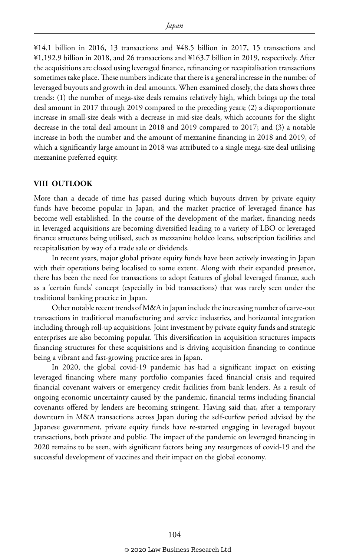¥14.1 billion in 2016, 13 transactions and ¥48.5 billion in 2017, 15 transactions and ¥1,192.9 billion in 2018, and 26 transactions and ¥163.7 billion in 2019, respectively. After the acquisitions are closed using leveraged finance, refinancing or recapitalisation transactions sometimes take place. These numbers indicate that there is a general increase in the number of leveraged buyouts and growth in deal amounts. When examined closely, the data shows three trends: (1) the number of mega-size deals remains relatively high, which brings up the total deal amount in 2017 through 2019 compared to the preceding years; (2) a disproportionate increase in small-size deals with a decrease in mid-size deals, which accounts for the slight decrease in the total deal amount in 2018 and 2019 compared to 2017; and (3) a notable increase in both the number and the amount of mezzanine financing in 2018 and 2019, of which a significantly large amount in 2018 was attributed to a single mega-size deal utilising mezzanine preferred equity.

#### **VIII OUTLOOK**

More than a decade of time has passed during which buyouts driven by private equity funds have become popular in Japan, and the market practice of leveraged finance has become well established. In the course of the development of the market, financing needs in leveraged acquisitions are becoming diversified leading to a variety of LBO or leveraged finance structures being utilised, such as mezzanine holdco loans, subscription facilities and recapitalisation by way of a trade sale or dividends.

In recent years, major global private equity funds have been actively investing in Japan with their operations being localised to some extent. Along with their expanded presence, there has been the need for transactions to adopt features of global leveraged finance, such as a 'certain funds' concept (especially in bid transactions) that was rarely seen under the traditional banking practice in Japan.

Other notable recent trends of M&A in Japan include the increasing number of carve-out transactions in traditional manufacturing and service industries, and horizontal integration including through roll-up acquisitions. Joint investment by private equity funds and strategic enterprises are also becoming popular. This diversification in acquisition structures impacts financing structures for these acquisitions and is driving acquisition financing to continue being a vibrant and fast-growing practice area in Japan.

In 2020, the global covid-19 pandemic has had a significant impact on existing leveraged financing where many portfolio companies faced financial crisis and required financial covenant waivers or emergency credit facilities from bank lenders. As a result of ongoing economic uncertainty caused by the pandemic, financial terms including financial covenants offered by lenders are becoming stringent. Having said that, after a temporary downturn in M&A transactions across Japan during the self-curfew period advised by the Japanese government, private equity funds have re-started engaging in leveraged buyout transactions, both private and public. The impact of the pandemic on leveraged financing in 2020 remains to be seen, with significant factors being any resurgences of covid-19 and the successful development of vaccines and their impact on the global economy.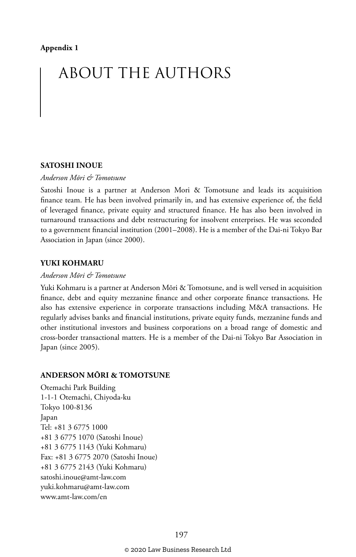# ABOUT THE AUTHORS

#### **SATOSHI INOUE**

#### *Anderson Mōri & Tomotsune*

Satoshi Inoue is a partner at Anderson Mori & Tomotsune and leads its acquisition finance team. He has been involved primarily in, and has extensive experience of, the field of leveraged finance, private equity and structured finance. He has also been involved in turnaround transactions and debt restructuring for insolvent enterprises. He was seconded to a government financial institution (2001–2008). He is a member of the Dai-ni Tokyo Bar Association in Japan (since 2000).

#### **YUKI KOHMARU**

#### *Anderson Mōri & Tomotsune*

Yuki Kohmaru is a partner at Anderson Mōri & Tomotsune, and is well versed in acquisition finance, debt and equity mezzanine finance and other corporate finance transactions. He also has extensive experience in corporate transactions including M&A transactions. He regularly advises banks and financial institutions, private equity funds, mezzanine funds and other institutional investors and business corporations on a broad range of domestic and cross-border transactional matters. He is a member of the Dai-ni Tokyo Bar Association in Japan (since 2005).

#### **ANDERSON MŌRI & TOMOTSUNE**

Otemachi Park Building 1-1-1 Otemachi, Chiyoda-ku Tokyo 100-8136 Japan Tel: +81 3 6775 1000 +81 3 6775 1070 (Satoshi Inoue) +81 3 6775 1143 (Yuki Kohmaru) Fax: +81 3 6775 2070 (Satoshi Inoue) +81 3 6775 2143 (Yuki Kohmaru) satoshi.inoue@amt-law.com yuki.kohmaru@amt-law.com www.amt-law.com/en